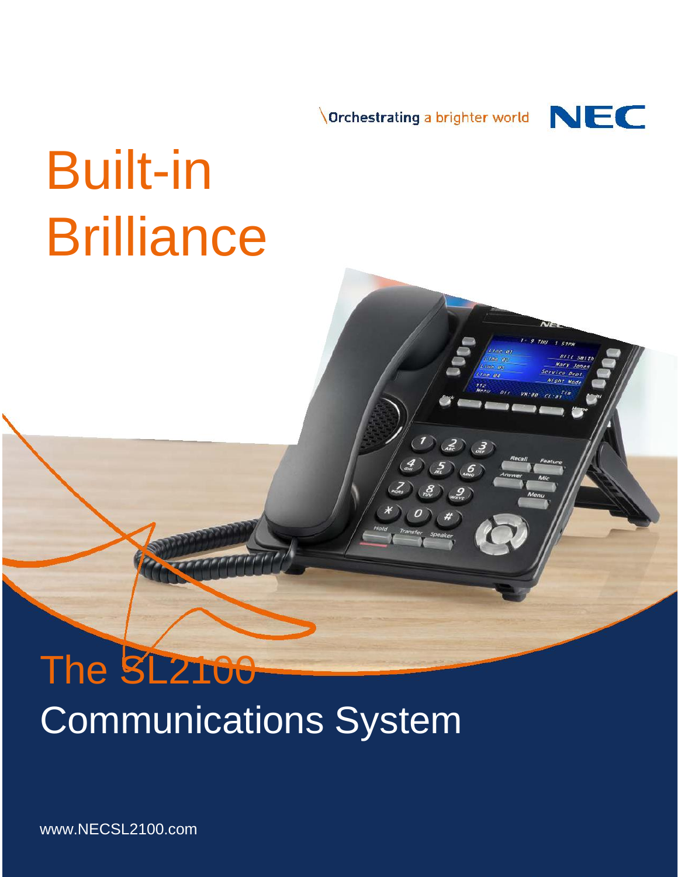Orchestrating a brighter world



# Built-in **Brilliance**

# The SL2100 Communications System

www.NECSL2100.com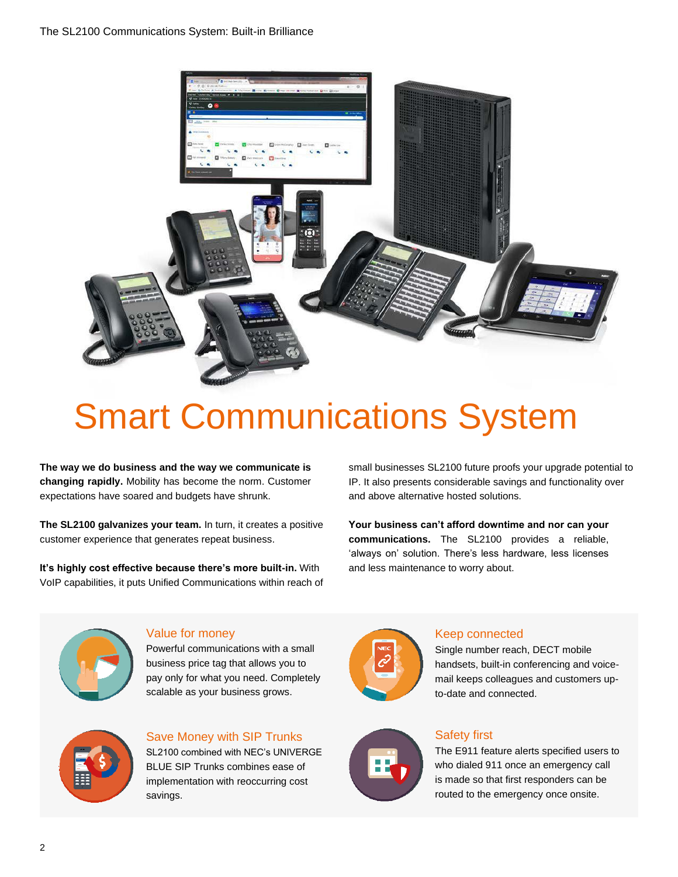

## Smart Communications System

**The way we do business and the way we communicate is changing rapidly.** Mobility has become the norm. Customer expectations have soared and budgets have shrunk.

**The SL2100 galvanizes your team.** In turn, it creates a positive customer experience that generates repeat business.

**It's highly cost effective because there's more built-in.** With VoIP capabilities, it puts Unified Communications within reach of small businesses SL2100 future proofs your upgrade potential to IP. It also presents considerable savings and functionality over and above alternative hosted solutions.

**Your business can't afford downtime and nor can your communications.** The SL2100 provides a reliable, 'always on' solution. There's less hardware, less licenses and less maintenance to worry about.



#### Value for money

Powerful communications with a small business price tag that allows you to pay only for what you need. Completely scalable as your business grows.



#### Save Money with SIP Trunks

SL2100 combined with NEC's UNIVERGE BLUE SIP Trunks combines ease of implementation with reoccurring cost savings.



#### Keep connected

Single number reach, DECT mobile handsets, built-in conferencing and voicemail keeps colleagues and customers upto-date and connected.



#### Safety first

The E911 feature alerts specified users to who dialed 911 once an emergency call is made so that first responders can be routed to the emergency once onsite.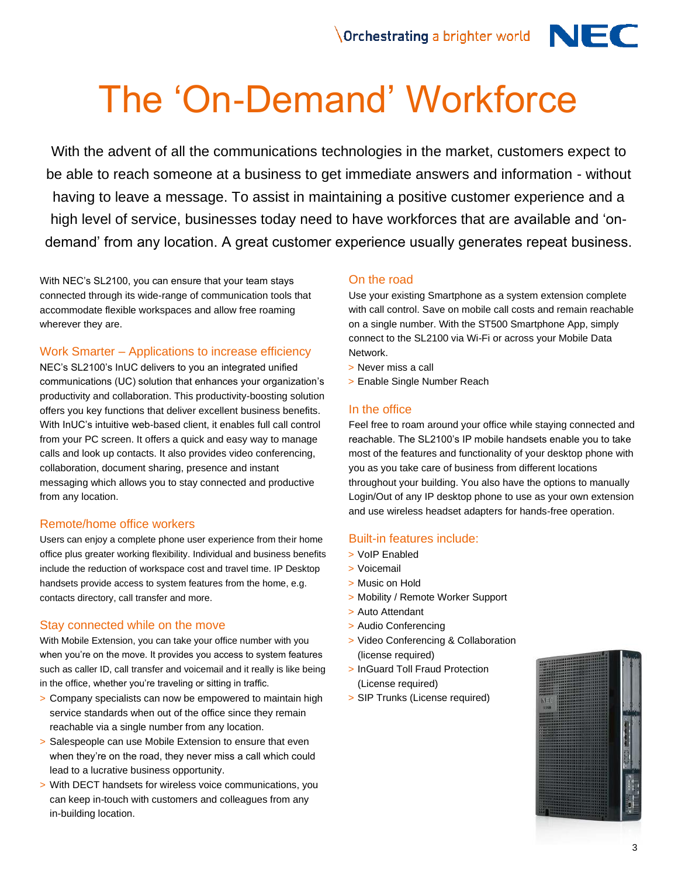## The 'On-Demand' Workforce

With the advent of all the communications technologies in the market, customers expect to be able to reach someone at a business to get immediate answers and information - without having to leave a message. To assist in maintaining a positive customer experience and a high level of service, businesses today need to have workforces that are available and 'ondemand' from any location. A great customer experience usually generates repeat business.

With NEC's SL2100, you can ensure that your team stays connected through its wide-range of communication tools that accommodate flexible workspaces and allow free roaming wherever they are.

#### Work Smarter – Applications to increase efficiency

NEC's SL2100's InUC delivers to you an integrated unified communications (UC) solution that enhances your organization's productivity and collaboration. This productivity-boosting solution offers you key functions that deliver excellent business benefits. With InUC's intuitive web-based client, it enables full call control from your PC screen. It offers a quick and easy way to manage calls and look up contacts. It also provides video conferencing, collaboration, document sharing, presence and instant messaging which allows you to stay connected and productive from any location.

#### Remote/home office workers

Users can enjoy a complete phone user experience from their home office plus greater working flexibility. Individual and business benefits include the reduction of workspace cost and travel time. IP Desktop handsets provide access to system features from the home, e.g. contacts directory, call transfer and more.

#### Stay connected while on the move

With Mobile Extension, you can take your office number with you when you're on the move. It provides you access to system features such as caller ID, call transfer and voicemail and it really is like being in the office, whether you're traveling or sitting in traffic.

- > Company specialists can now be empowered to maintain high service standards when out of the office since they remain reachable via a single number from any location.
- > Salespeople can use Mobile Extension to ensure that even when they're on the road, they never miss a call which could lead to a lucrative business opportunity.
- > With DECT handsets for wireless voice communications, you can keep in-touch with customers and colleagues from any in-building location.

#### On the road

Use your existing Smartphone as a system extension complete with call control. Save on mobile call costs and remain reachable on a single number. With the ST500 Smartphone App, simply connect to the SL2100 via Wi-Fi or across your Mobile Data Network.

- > Never miss a call
- > Enable Single Number Reach

#### In the office

Feel free to roam around your office while staying connected and reachable. The SL2100's IP mobile handsets enable you to take most of the features and functionality of your desktop phone with you as you take care of business from different locations throughout your building. You also have the options to manually Login/Out of any IP desktop phone to use as your own extension and use wireless headset adapters for hands-free operation.

#### Built-in features include:

- > VoIP Enabled
- > Voicemail
- > Music on Hold
- > Mobility / Remote Worker Support
- > Auto Attendant
- > Audio Conferencing
- > Video Conferencing & Collaboration (license required)
- > InGuard Toll Fraud Protection (License required)
- > SIP Trunks (License required)

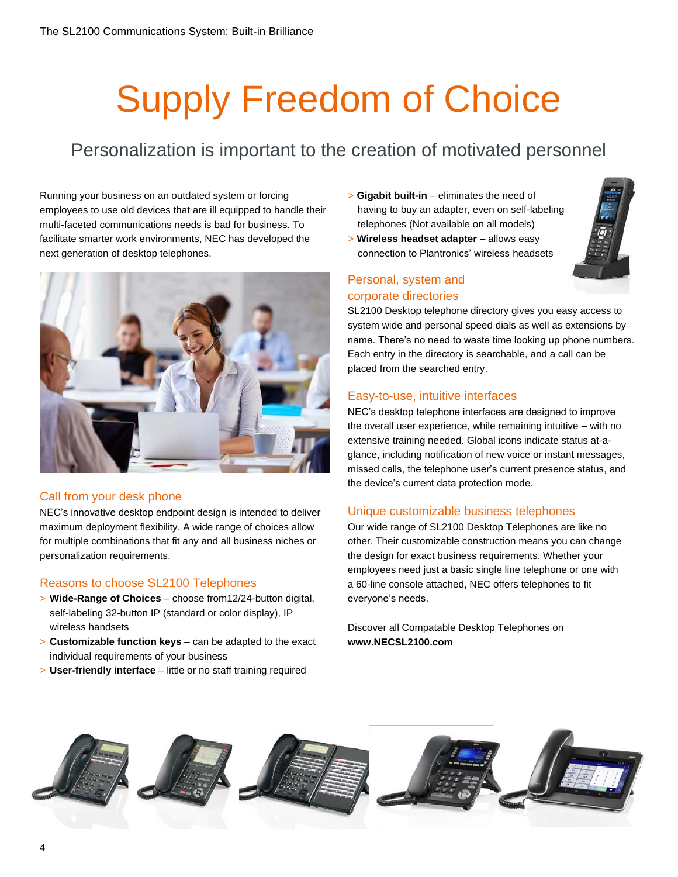# Supply Freedom of Choice

### Personalization is important to the creation of motivated personnel

Running your business on an outdated system or forcing employees to use old devices that are ill equipped to handle their multi-faceted communications needs is bad for business. To facilitate smarter work environments, NEC has developed the next generation of desktop telephones.



#### Call from your desk phone

NEC's innovative desktop endpoint design is intended to deliver maximum deployment flexibility. A wide range of choices allow for multiple combinations that fit any and all business niches or personalization requirements.

#### Reasons to choose SL2100 Telephones

- > **Wide-Range of Choices**  choose from12/24-button digital, self-labeling 32-button IP (standard or color display), IP wireless handsets
- > **Customizable function keys**  can be adapted to the exact individual requirements of your business
- > **User-friendly interface**  little or no staff training required
- > **Gigabit built-in**  eliminates the need of having to buy an adapter, even on self-labeling telephones (Not available on all models)
- > **Wireless headset adapter**  allows easy connection to Plantronics' wireless headsets



#### Personal, system and corporate directories

SL2100 Desktop telephone directory gives you easy access to system wide and personal speed dials as well as extensions by name. There's no need to waste time looking up phone numbers. Each entry in the directory is searchable, and a call can be placed from the searched entry.

#### Easy-to-use, intuitive interfaces

NEC's desktop telephone interfaces are designed to improve the overall user experience, while remaining intuitive – with no extensive training needed. Global icons indicate status at-aglance, including notification of new voice or instant messages, missed calls, the telephone user's current presence status, and the device's current data protection mode.

#### Unique customizable business telephones

Our wide range of SL2100 Desktop Telephones are like no other. Their customizable construction means you can change the design for exact business requirements. Whether your employees need just a basic single line telephone or one with a 60-line console attached, NEC offers telephones to fit everyone's needs.

Discover all Compatable Desktop Telephones on **www.NECSL2100.com**

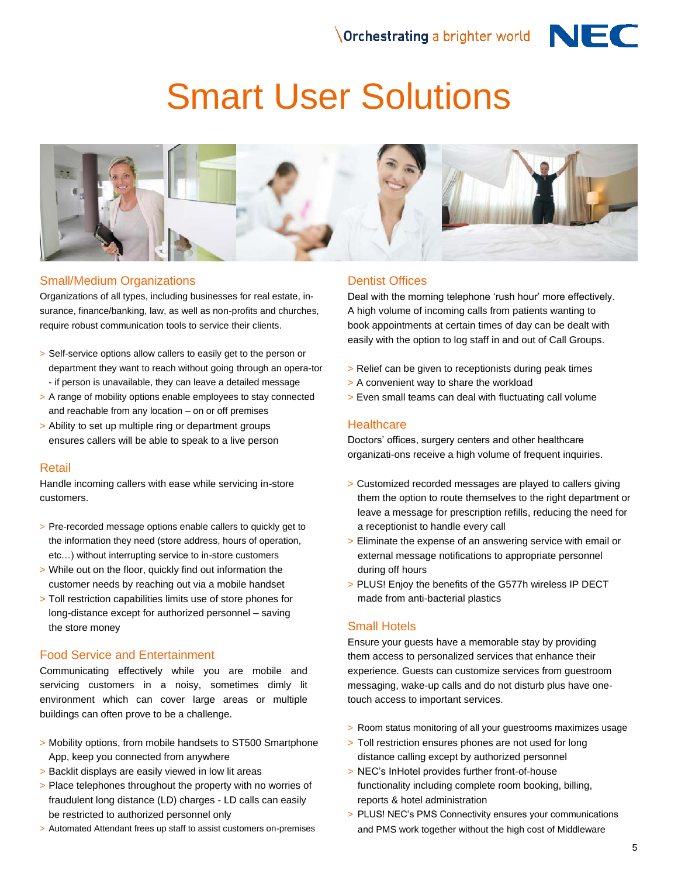

## Smart User Solutions



#### Small/Medium Organizations

Organizations of all types, including businesses for real estate, insurance, finance/banking, law, as well as non-profits and churches, require robust communication tools to service their clients.

- > Self-service options allow callers to easily get to the person or department they want to reach without going through an opera-tor - if person is unavailable, they can leave a detailed message
- > A range of mobility options enable employees to stay connected and reachable from any location – on or off premises
- > Ability to set up multiple ring or department groups ensures callers will be able to speak to a live person

#### Retail

Handle incoming callers with ease while servicing in-store customers.

- > Pre-recorded message options enable callers to quickly get to the information they need (store address, hours of operation, etc…) without interrupting service to in-store customers
- > While out on the floor, quickly find out information the customer needs by reaching out via a mobile handset
- > Toll restriction capabilities limits use of store phones for long-distance except for authorized personnel – saving the store money

#### Food Service and Entertainment

Communicating effectively while you are mobile and servicing customers in a noisy, sometimes dimly lit environment which can cover large areas or multiple buildings can often prove to be a challenge.

- > Mobility options, from mobile handsets to ST500 Smartphone App, keep you connected from anywhere
- > Backlit displays are easily viewed in low lit areas
- > Place telephones throughout the property with no worries of fraudulent long distance (LD) charges - LD calls can easily be restricted to authorized personnel only
- > Automated Attendant frees up staff to assist customers on-premises

#### Dentist Offices

Deal with the morning telephone 'rush hour' more effectively. A high volume of incoming calls from patients wanting to book appointments at certain times of day can be dealt with easily with the option to log staff in and out of Call Groups.

- > Relief can be given to receptionists during peak times
- > A convenient way to share the workload
- > Even small teams can deal with fluctuating call volume

#### **Healthcare**

Doctors' offices, surgery centers and other healthcare organizati-ons receive a high volume of frequent inquiries.

- > Customized recorded messages are played to callers giving them the option to route themselves to the right department or leave a message for prescription refills, reducing the need for a receptionist to handle every call
- > Eliminate the expense of an answering service with email or external message notifications to appropriate personnel during off hours
- > PLUS! Enjoy the benefits of the G577h wireless IP DECT made from anti-bacterial plastics

#### Small Hotels

Ensure your guests have a memorable stay by providing them access to personalized services that enhance their experience. Guests can customize services from guestroom messaging, wake-up calls and do not disturb plus have onetouch access to important services.

- > Room status monitoring of all your guestrooms maximizes usage
- > Toll restriction ensures phones are not used for long distance calling except by authorized personnel
- > NEC's InHotel provides further front-of-house functionality including complete room booking, billing, reports & hotel administration
- > PLUS! NEC's PMS Connectivity ensures your communications and PMS work together without the high cost of Middleware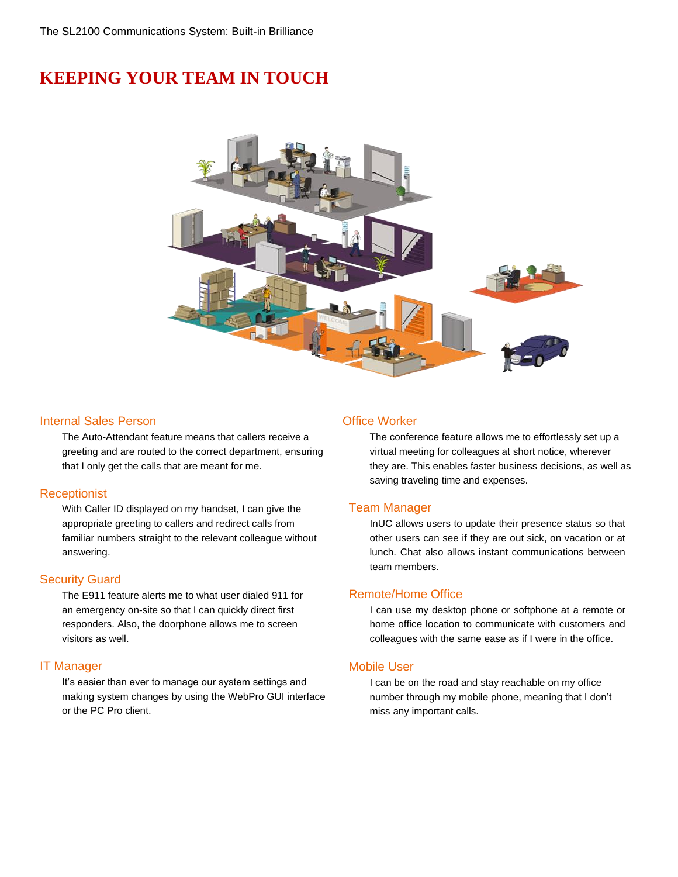### **KEEPING YOUR TEAM IN TOUCH**



#### **Internal Sales Person Contract Contract Contract Contract Contract Contract Contract Contract Contract Contract Contract Contract Contract Contract Contract Contract Contract Contract Contract Contract Contract Contract**

The Auto-Attendant feature means that callers receive a greeting and are routed to the correct department, ensuring that I only get the calls that are meant for me.

#### **Receptionist**

With Caller ID displayed on my handset, I can give the appropriate greeting to callers and redirect calls from familiar numbers straight to the relevant colleague without answering.

#### Security Guard

The E911 feature alerts me to what user dialed 911 for an emergency on-site so that I can quickly direct first responders. Also, the doorphone allows me to screen visitors as well.

#### IT Manager

It's easier than ever to manage our system settings and making system changes by using the WebPro GUI interface or the PC Pro client.

The conference feature allows me to effortlessly set up a virtual meeting for colleagues at short notice, wherever they are. This enables faster business decisions, as well as saving traveling time and expenses.

#### Team Manager

InUC allows users to update their presence status so that other users can see if they are out sick, on vacation or at lunch. Chat also allows instant communications between team members.

#### Remote/Home Office

I can use my desktop phone or softphone at a remote or home office location to communicate with customers and colleagues with the same ease as if I were in the office.

#### Mobile User

I can be on the road and stay reachable on my office number through my mobile phone, meaning that I don't miss any important calls.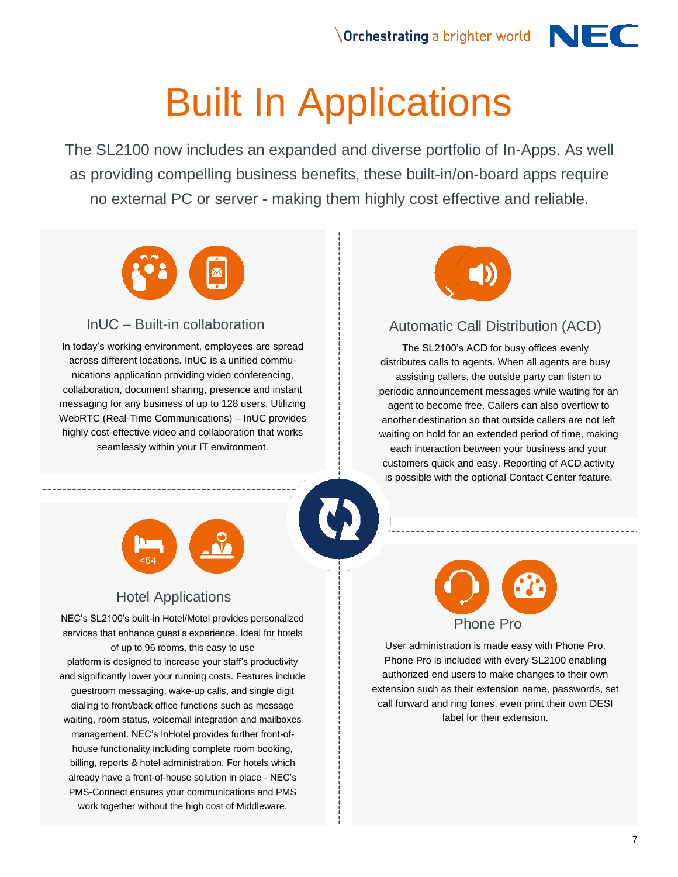# Built In Applications

The SL2100 now includes an expanded and diverse portfolio of In-Apps. As well as providing compelling business benefits, these built-in/on-board apps require no external PC or server - making them highly cost effective and reliable.



#### InUC – Built-in collaboration

In today's working environment, employees are spread across different locations. InUC is a unified communications application providing video conferencing, collaboration, document sharing, presence and instant messaging for any business of up to 128 users. Utilizing WebRTC (Real-Time Communications) – InUC provides highly cost-effective video and collaboration that works seamlessly within your IT environment.



#### Automatic Call Distribution (ACD)

The SL2100's ACD for busy offices evenly distributes calls to agents. When all agents are busy assisting callers, the outside party can listen to periodic announcement messages while waiting for an agent to become free. Callers can also overflow to another destination so that outside callers are not left waiting on hold for an extended period of time, making each interaction between your business and your customers quick and easy. Reporting of ACD activity is possible with the optional Contact Center feature.



### Hotel Applications

NEC's SL2100's built-in Hotel/Motel provides personalized services that enhance guest's experience. Ideal for hotels of up to 96 rooms, this easy to use platform is designed to increase your staff's productivity and significantly lower your running costs. Features include guestroom messaging, wake-up calls, and single digit dialing to front/back office functions such as message waiting, room status, voicemail integration and mailboxes management. NEC's InHotel provides further front-ofhouse functionality including complete room booking, billing, reports & hotel administration. For hotels which already have a front-of-house solution in place - NEC's PMS-Connect ensures your communications and PMS work together without the high cost of Middleware.



User administration is made easy with Phone Pro. Phone Pro is included with every SL2100 enabling authorized end users to make changes to their own extension such as their extension name, passwords, set call forward and ring tones, even print their own DESI label for their extension.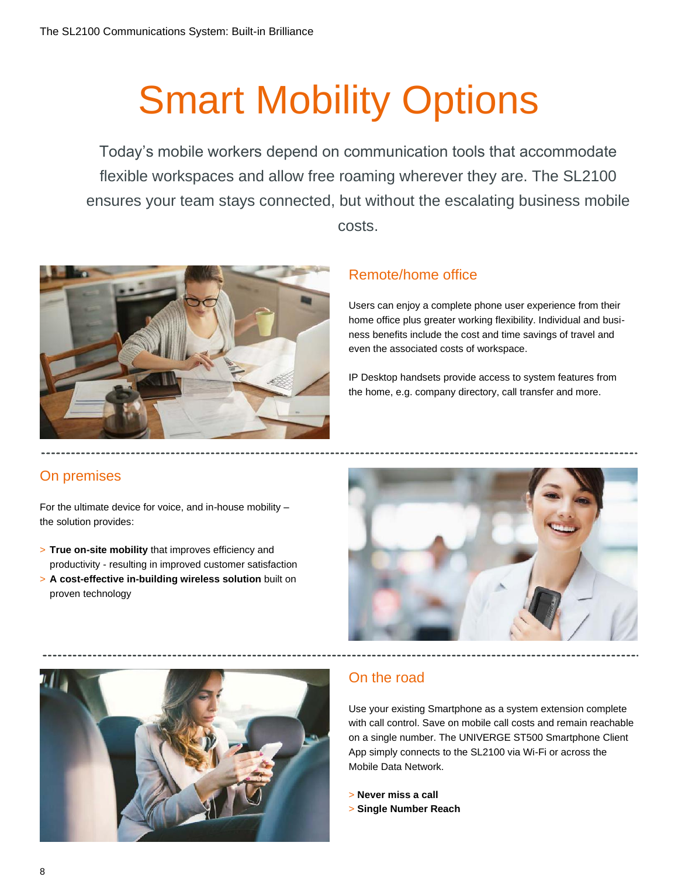# Smart Mobility Options

Today's mobile workers depend on communication tools that accommodate flexible workspaces and allow free roaming wherever they are. The SL2100 ensures your team stays connected, but without the escalating business mobile costs.



#### Remote/home office

Users can enjoy a complete phone user experience from their home office plus greater working flexibility. Individual and business benefits include the cost and time savings of travel and even the associated costs of workspace.

IP Desktop handsets provide access to system features from the home, e.g. company directory, call transfer and more.

#### On premises

For the ultimate device for voice, and in-house mobility – the solution provides:

- > **True on-site mobility** that improves efficiency and productivity - resulting in improved customer satisfaction
- > **A cost-effective in-building wireless solution** built on proven technology





### On the road

Use your existing Smartphone as a system extension complete with call control. Save on mobile call costs and remain reachable on a single number. The UNIVERGE ST500 Smartphone Client App simply connects to the SL2100 via Wi-Fi or across the Mobile Data Network.

> **Never miss a call** > **Single Number Reach**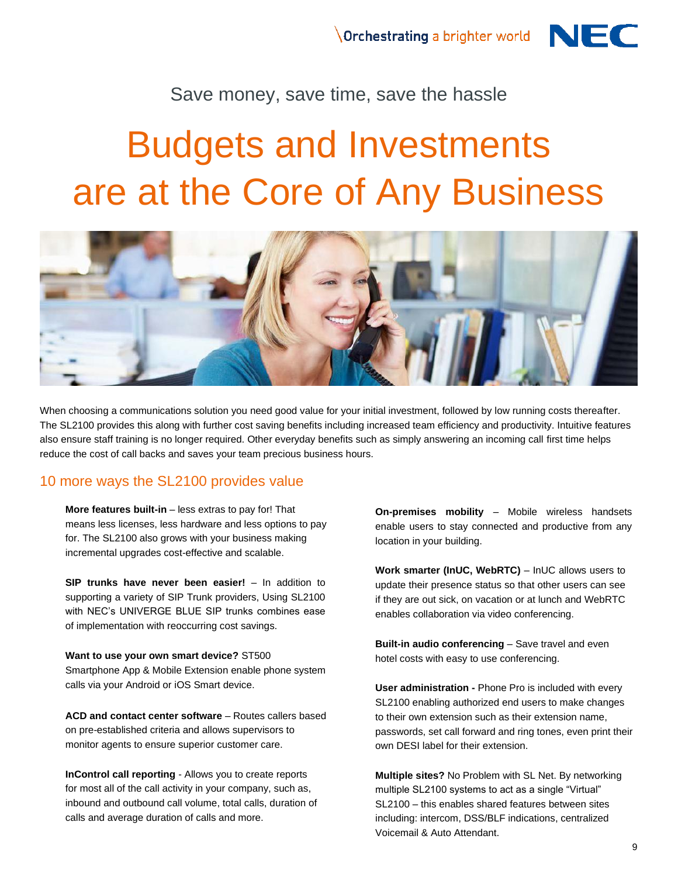

## Budgets and Investments are at the Core of Any Business



When choosing a communications solution you need good value for your initial investment, followed by low running costs thereafter. The SL2100 provides this along with further cost saving benefits including increased team efficiency and productivity. Intuitive features also ensure staff training is no longer required. Other everyday benefits such as simply answering an incoming call first time helps reduce the cost of call backs and saves your team precious business hours.

#### 10 more ways the SL2100 provides value

**More features built-in** – less extras to pay for! That means less licenses, less hardware and less options to pay for. The SL2100 also grows with your business making incremental upgrades cost-effective and scalable.

**SIP trunks have never been easier!** – In addition to supporting a variety of SIP Trunk providers, Using SL2100 with NEC's UNIVERGE BLUE SIP trunks combines ease of implementation with reoccurring cost savings.

**Want to use your own smart device?** ST500 Smartphone App & Mobile Extension enable phone system calls via your Android or iOS Smart device.

**ACD and contact center software** – Routes callers based on pre-established criteria and allows supervisors to monitor agents to ensure superior customer care.

**InControl call reporting** - Allows you to create reports for most all of the call activity in your company, such as, inbound and outbound call volume, total calls, duration of calls and average duration of calls and more.

**On-premises mobility** – Mobile wireless handsets enable users to stay connected and productive from any location in your building.

**Work smarter (InUC, WebRTC)** – InUC allows users to update their presence status so that other users can see if they are out sick, on vacation or at lunch and WebRTC enables collaboration via video conferencing.

**Built-in audio conferencing - Save travel and even** hotel costs with easy to use conferencing.

**User administration -** Phone Pro is included with every SL2100 enabling authorized end users to make changes to their own extension such as their extension name, passwords, set call forward and ring tones, even print their own DESI label for their extension.

**Multiple sites?** No Problem with SL Net. By networking multiple SL2100 systems to act as a single "Virtual" SL2100 – this enables shared features between sites including: intercom, DSS/BLF indications, centralized Voicemail & Auto Attendant.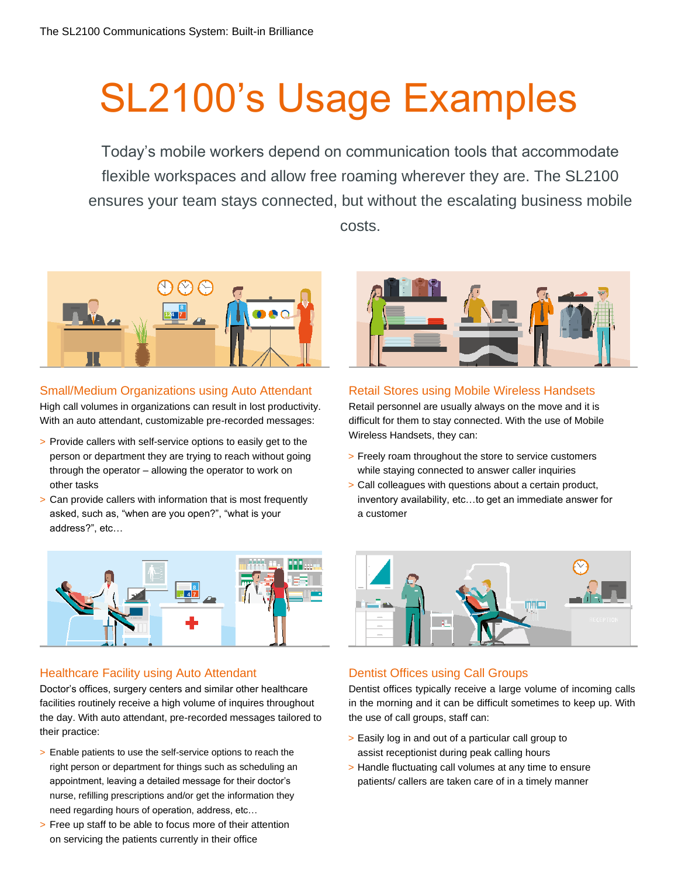# SL2100's Usage Examples

Today's mobile workers depend on communication tools that accommodate flexible workspaces and allow free roaming wherever they are. The SL2100 ensures your team stays connected, but without the escalating business mobile costs.



#### Small/Medium Organizations using Auto Attendant

High call volumes in organizations can result in lost productivity. With an auto attendant, customizable pre-recorded messages:

- > Provide callers with self-service options to easily get to the person or department they are trying to reach without going through the operator – allowing the operator to work on other tasks
- > Can provide callers with information that is most frequently asked, such as, "when are you open?", "what is your address?", etc…



#### Healthcare Facility using Auto Attendant

Doctor's offices, surgery centers and similar other healthcare facilities routinely receive a high volume of inquires throughout the day. With auto attendant, pre-recorded messages tailored to their practice:

- > Enable patients to use the self-service options to reach the right person or department for things such as scheduling an appointment, leaving a detailed message for their doctor's nurse, refilling prescriptions and/or get the information they need regarding hours of operation, address, etc…
- > Free up staff to be able to focus more of their attention on servicing the patients currently in their office



#### Retail Stores using Mobile Wireless Handsets

Retail personnel are usually always on the move and it is difficult for them to stay connected. With the use of Mobile Wireless Handsets, they can:

- > Freely roam throughout the store to service customers while staying connected to answer caller inquiries
- > Call colleagues with questions about a certain product, inventory availability, etc…to get an immediate answer for a customer



#### Dentist Offices using Call Groups

Dentist offices typically receive a large volume of incoming calls in the morning and it can be difficult sometimes to keep up. With the use of call groups, staff can:

- > Easily log in and out of a particular call group to assist receptionist during peak calling hours
- > Handle fluctuating call volumes at any time to ensure patients/ callers are taken care of in a timely manner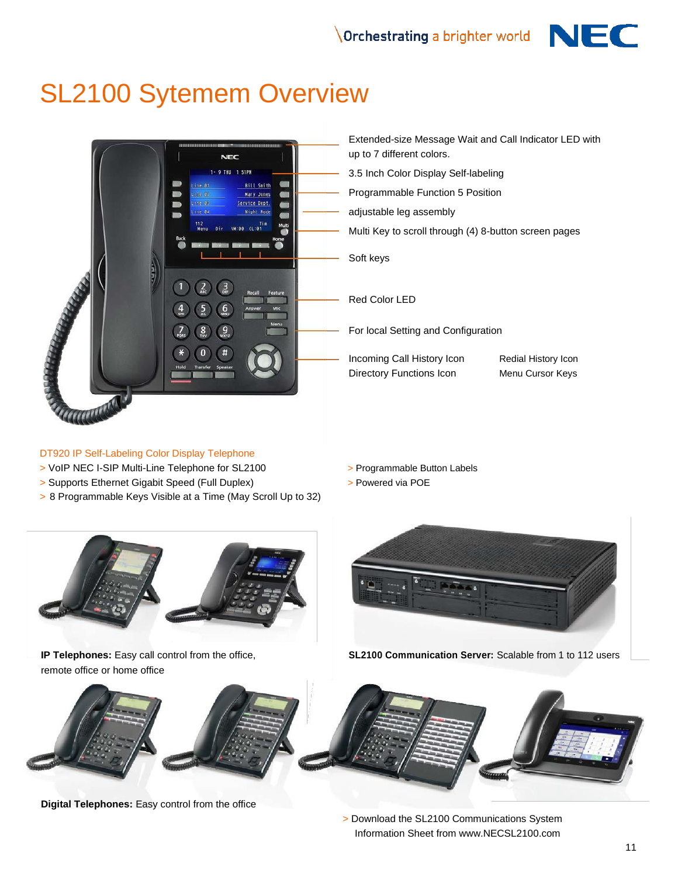

## SL2100 Sytemem Overview



#### DT920 IP Self-Labeling Color Display Telephone

- > VoIP NEC I-SIP Multi-Line Telephone for SL2100 > Programmable Button Labels
- > Supports Ethernet Gigabit Speed (Full Duplex) > Powered via POE
- > 8 Programmable Keys Visible at a Time (May Scroll Up to 32)
- Extended-size Message Wait and Call Indicator LED with up to 7 different colors.
- 3.5 Inch Color Display Self-labeling
- Programmable Function 5 Position
- adjustable leg assembly
- Multi Key to scroll through (4) 8-button screen pages

Soft keys

Red Color LED

For local Setting and Configuration

Incoming Call History Icon Redial History Icon Directory Functions Icon Menu Cursor Keys

- 
- 



remote office or home office



**IP Telephones:** Easy call control from the office, **SL2100 Communication Server:** Scalable from 1 to 112 users



**Digital Telephones:** Easy control from the office

> Download the SL2100 Communications System Information Sheet from www.NECSL2100.com